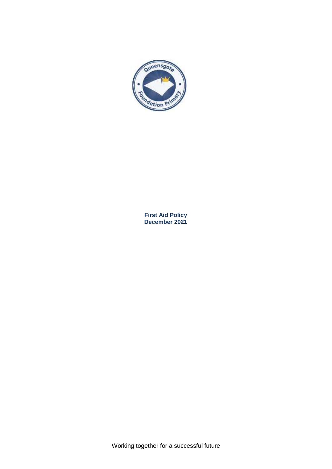

**First Aid Policy December 2021**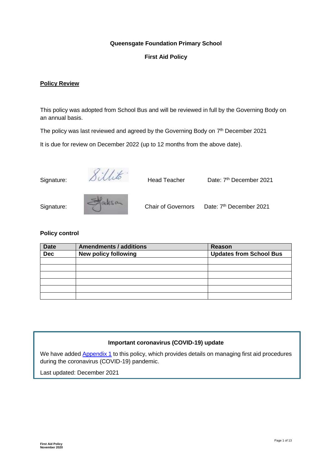# **Queensgate Foundation Primary School**

## **First Aid Policy**

#### **Policy Review**

This policy was adopted from School Bus and will be reviewed in full by the Governing Body on an annual basis.

The policy was last reviewed and agreed by the Governing Body on 7<sup>th</sup> December 2021

It is due for review on December 2022 (up to 12 months from the above date).

Signature: DICOME Head Teacher Date: 7

Date: 7<sup>th</sup> December 2021



| P100130<br>Signature: | <b>Chair of Governors</b> | Date: 7 |
|-----------------------|---------------------------|---------|
|-----------------------|---------------------------|---------|

Date: 7<sup>th</sup> December 2021

#### **Policy control**

| <b>Date</b> | <b>Amendments / additions</b> | Reason                         |  |
|-------------|-------------------------------|--------------------------------|--|
| <b>Dec</b>  | New policy following          | <b>Updates from School Bus</b> |  |
|             |                               |                                |  |
|             |                               |                                |  |
|             |                               |                                |  |
|             |                               |                                |  |
|             |                               |                                |  |
|             |                               |                                |  |

#### **Important coronavirus (COVID-19) update**

We have added Appendix 1 to this policy, which provides details on managing first aid procedures during the coronavirus (COVID-19) pandemic.

Last updated: December 2021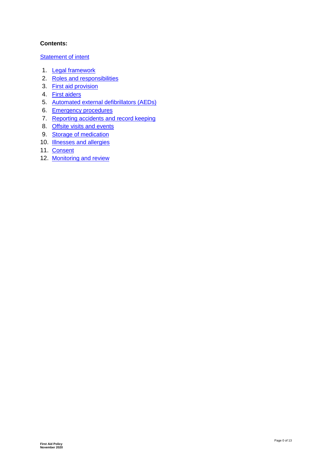# **Contents:**

## **Statement of intent**

- 1. Legal framework
- 2. [Roles and responsibilities](#page-4-0)
- 3. [First aid provision](#page-5-0)
- 4. [First aiders](#page-6-0)
- 5. [Automated external defibrillators \(AEDs\)](#page-7-0)
- 6. [Emergency procedures](#page-7-1)
- 7. Reporting accidents and record keeping
- 8. [Offsite visits and events](#page-8-0)
- 9. [Storage of medication](#page-8-1)
- 10. **[Illnesses and allergies](#page-9-0)**
- 11. [Consent](#page-9-1)
- 12. [Monitoring and review](#page-9-2)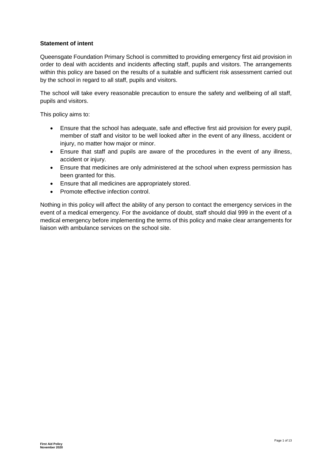## **Statement of intent**

Queensgate Foundation Primary School is committed to providing emergency first aid provision in order to deal with accidents and incidents affecting staff, pupils and visitors. The arrangements within this policy are based on the results of a suitable and sufficient risk assessment carried out by the school in regard to all staff, pupils and visitors.

The school will take every reasonable precaution to ensure the safety and wellbeing of all staff, pupils and visitors.

This policy aims to:

- Ensure that the school has adequate, safe and effective first aid provision for every pupil, member of staff and visitor to be well looked after in the event of any illness, accident or injury, no matter how major or minor.
- Ensure that staff and pupils are aware of the procedures in the event of any illness, accident or injury.
- Ensure that medicines are only administered at the school when express permission has been granted for this.
- Ensure that all medicines are appropriately stored.
- Promote effective infection control.

Nothing in this policy will affect the ability of any person to contact the emergency services in the event of a medical emergency. For the avoidance of doubt, staff should dial 999 in the event of a medical emergency before implementing the terms of this policy and make clear arrangements for liaison with ambulance services on the school site.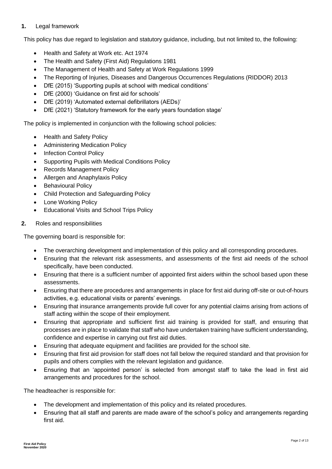# **1.** Legal framework

This policy has due regard to legislation and statutory guidance, including, but not limited to, the following:

- Health and Safety at Work etc. Act 1974
- The Health and Safety (First Aid) Regulations 1981
- The Management of Health and Safety at Work Regulations 1999
- The Reporting of Injuries, Diseases and Dangerous Occurrences Regulations (RIDDOR) 2013
- DfE (2015) 'Supporting pupils at school with medical conditions'
- DfE (2000) 'Guidance on first aid for schools'
- DfE (2019) 'Automated external defibrillators (AEDs)'
- DfE (2021) 'Statutory framework for the early years foundation stage'

The policy is implemented in conjunction with the following school policies:

- Health and Safety Policy
- Administering Medication Policy
- Infection Control Policy
- Supporting Pupils with Medical Conditions Policy
- Records Management Policy
- Allergen and Anaphylaxis Policy
- Behavioural Policy
- Child Protection and Safeguarding Policy
- Lone Working Policy
- Educational Visits and School Trips Policy
- <span id="page-4-0"></span>**2.** Roles and responsibilities

The governing board is responsible for:

- The overarching development and implementation of this policy and all corresponding procedures.
- Ensuring that the relevant risk assessments, and assessments of the first aid needs of the school specifically, have been conducted.
- Ensuring that there is a sufficient number of appointed first aiders within the school based upon these assessments.
- Ensuring that there are procedures and arrangements in place for first aid during off-site or out-of-hours activities, e.g. educational visits or parents' evenings.
- Ensuring that insurance arrangements provide full cover for any potential claims arising from actions of staff acting within the scope of their employment.
- Ensuring that appropriate and sufficient first aid training is provided for staff, and ensuring that processes are in place to validate that staff who have undertaken training have sufficient understanding, confidence and expertise in carrying out first aid duties.
- Ensuring that adequate equipment and facilities are provided for the school site.
- Ensuring that first aid provision for staff does not fall below the required standard and that provision for pupils and others complies with the relevant legislation and guidance.
- Ensuring that an 'appointed person' is selected from amongst staff to take the lead in first aid arrangements and procedures for the school.

The headteacher is responsible for:

- The development and implementation of this policy and its related procedures.
- Ensuring that all staff and parents are made aware of the school's policy and arrangements regarding first aid.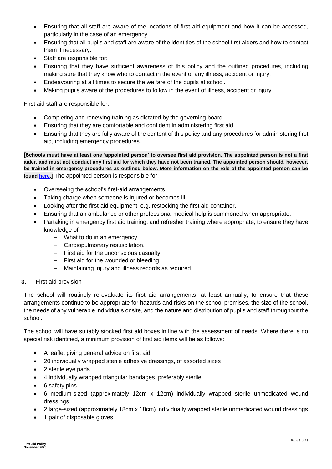- Ensuring that all staff are aware of the locations of first aid equipment and how it can be accessed, particularly in the case of an emergency.
- Ensuring that all pupils and staff are aware of the identities of the school first aiders and how to contact them if necessary.
- Staff are responsible for:
- Ensuring that they have sufficient awareness of this policy and the outlined procedures, including making sure that they know who to contact in the event of any illness, accident or injury.
- Endeavouring at all times to secure the welfare of the pupils at school.
- Making pupils aware of the procedures to follow in the event of illness, accident or injury.

First aid staff are responsible for:

- Completing and renewing training as dictated by the governing board.
- Ensuring that they are comfortable and confident in administering first aid.
- Ensuring that they are fully aware of the content of this policy and any procedures for administering first aid, including emergency procedures.

**[Schools must have at least one 'appointed person' to oversee first aid provision. The appointed person is not a first aider, and must not conduct any first aid for which they have not been trained. The appointed person should, however, be trained in emergency procedures as outlined below. More information on the role of the appointed person can be found [here.](https://www.redcrossfirstaidtraining.co.uk/courses/first-aid-legal-requirements/choosing-an-appointed-person-or-first-aider/)]** The appointed person is responsible for:

- Overseeing the school's first-aid arrangements.
- Taking charge when someone is injured or becomes ill.
- Looking after the first-aid equipment, e.g. restocking the first aid container.
- Ensuring that an ambulance or other professional medical help is summoned when appropriate.
- Partaking in emergency first aid training, and refresher training where appropriate, to ensure they have knowledge of:
	- What to do in an emergency.
	- Cardiopulmonary resuscitation.
	- First aid for the unconscious casualty.
	- First aid for the wounded or bleeding.
	- Maintaining injury and illness records as required.

#### <span id="page-5-0"></span>**3.** First aid provision

The school will routinely re-evaluate its first aid arrangements, at least annually, to ensure that these arrangements continue to be appropriate for hazards and risks on the school premises, the size of the school, the needs of any vulnerable individuals onsite, and the nature and distribution of pupils and staff throughout the school.

The school will have suitably stocked first aid boxes in line with the assessment of needs. Where there is no special risk identified, a minimum provision of first aid items will be as follows:

- A leaflet giving general advice on first aid
- 20 individually wrapped sterile adhesive dressings, of assorted sizes
- 2 sterile eye pads
- 4 individually wrapped triangular bandages, preferably sterile
- 6 safety pins
- 6 medium-sized (approximately 12cm x 12cm) individually wrapped sterile unmedicated wound dressings
- 2 large-sized (approximately 18cm x 18cm) individually wrapped sterile unmedicated wound dressings
- 1 pair of disposable gloves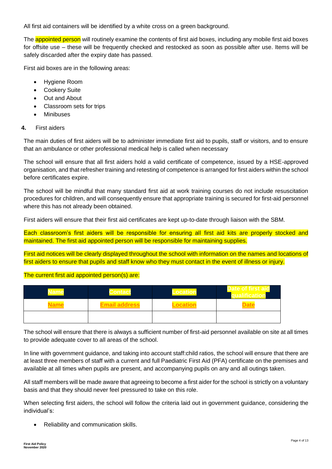All first aid containers will be identified by a white cross on a green background.

The **appointed person** will routinely examine the contents of first aid boxes, including any mobile first aid boxes for offsite use – these will be frequently checked and restocked as soon as possible after use. Items will be safely discarded after the expiry date has passed.

First aid boxes are in the following areas:

- Hygiene Room
- Cookery Suite
- Out and About
- Classroom sets for trips
- Minibuses

#### <span id="page-6-0"></span>**4.** First aiders

The main duties of first aiders will be to administer immediate first aid to pupils, staff or visitors, and to ensure that an ambulance or other professional medical help is called when necessary

The school will ensure that all first aiders hold a valid certificate of competence, issued by a HSE-approved organisation, and that refresher training and retesting of competence is arranged for first aiders within the school before certificates expire.

The school will be mindful that many standard first aid at work training courses do not include resuscitation procedures for children, and will consequently ensure that appropriate training is secured for first-aid personnel where this has not already been obtained.

First aiders will ensure that their first aid certificates are kept up-to-date through liaison with the SBM.

Each classroom's first aiders will be responsible for ensuring all first aid kits are properly stocked and maintained. The first aid appointed person will be responsible for maintaining supplies.

First aid notices will be clearly displayed throughout the school with information on the names and locations of first aiders to ensure that pupils and staff know who they must contact in the event of illness or injury.

#### The current first aid appointed person(s) are:

| Name |                      | Date of first. |
|------|----------------------|----------------|
|      | <b>Email address</b> | <b>Date</b>    |
|      |                      |                |

The school will ensure that there is always a sufficient number of first-aid personnel available on site at all times to provide adequate cover to all areas of the school.

In line with government guidance, and taking into account staff:child ratios, the school will ensure that there are at least three members of staff with a current and full Paediatric First Aid (PFA) certificate on the premises and available at all times when pupils are present, and accompanying pupils on any and all outings taken.

All staff members will be made aware that agreeing to become a first aider for the school is strictly on a voluntary basis and that they should never feel pressured to take on this role.

When selecting first aiders, the school will follow the criteria laid out in government guidance, considering the individual's:

Reliability and communication skills.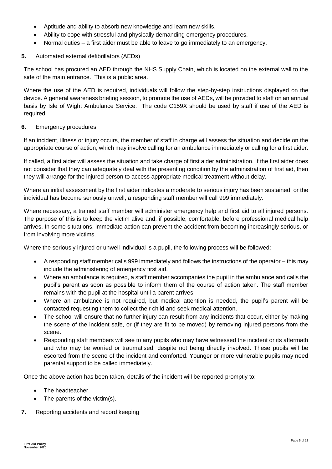- Aptitude and ability to absorb new knowledge and learn new skills.
- Ability to cope with stressful and physically demanding emergency procedures.
- Normal duties a first aider must be able to leave to go immediately to an emergency.

#### <span id="page-7-0"></span>**5.** Automated external defibrillators (AEDs)

The school has procured an AED through the NHS Supply Chain, which is located on the external wall to the side of the main entrance. This is a public area.

Where the use of the AED is required, individuals will follow the step-by-step instructions displayed on the device. A general awareness briefing session, to promote the use of AEDs, will be provided to staff on an annual basis by Isle of Wight Ambulance Service. The code C159X should be used by staff if use of the AED is required.

#### <span id="page-7-1"></span>**6.** Emergency procedures

If an incident, illness or injury occurs, the member of staff in charge will assess the situation and decide on the appropriate course of action, which may involve calling for an ambulance immediately or calling for a first aider.

If called, a first aider will assess the situation and take charge of first aider administration. If the first aider does not consider that they can adequately deal with the presenting condition by the administration of first aid, then they will arrange for the injured person to access appropriate medical treatment without delay.

Where an initial assessment by the first aider indicates a moderate to serious injury has been sustained, or the individual has become seriously unwell, a responding staff member will call 999 immediately.

Where necessary, a trained staff member will administer emergency help and first aid to all injured persons. The purpose of this is to keep the victim alive and, if possible, comfortable, before professional medical help arrives. In some situations, immediate action can prevent the accident from becoming increasingly serious, or from involving more victims.

Where the seriously injured or unwell individual is a pupil, the following process will be followed:

- A responding staff member calls 999 immediately and follows the instructions of the operator this may include the administering of emergency first aid.
- Where an ambulance is required, a staff member accompanies the pupil in the ambulance and calls the pupil's parent as soon as possible to inform them of the course of action taken. The staff member remains with the pupil at the hospital until a parent arrives.
- Where an ambulance is not required, but medical attention is needed, the pupil's parent will be contacted requesting them to collect their child and seek medical attention.
- The school will ensure that no further injury can result from any incidents that occur, either by making the scene of the incident safe, or (if they are fit to be moved) by removing injured persons from the scene.
- Responding staff members will see to any pupils who may have witnessed the incident or its aftermath and who may be worried or traumatised, despite not being directly involved. These pupils will be escorted from the scene of the incident and comforted. Younger or more vulnerable pupils may need parental support to be called immediately.

Once the above action has been taken, details of the incident will be reported promptly to:

- The headteacher.
- The parents of the victim(s).
- **7.** Reporting accidents and record keeping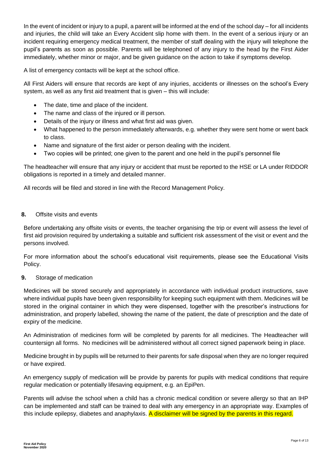In the event of incident or injury to a pupil, a parent will be informed at the end of the school day – for all incidents and injuries, the child will take an Every Accident slip home with them. In the event of a serious injury or an incident requiring emergency medical treatment, the member of staff dealing with the injury will telephone the pupil's parents as soon as possible. Parents will be telephoned of any injury to the head by the First Aider immediately, whether minor or major, and be given guidance on the action to take if symptoms develop.

A list of emergency contacts will be kept at the school office.

All First Aiders will ensure that records are kept of any injuries, accidents or illnesses on the school's Every system, as well as any first aid treatment that is given – this will include:

- The date, time and place of the incident.
- The name and class of the injured or ill person.
- Details of the injury or illness and what first aid was given.
- What happened to the person immediately afterwards, e.g. whether they were sent home or went back to class.
- Name and signature of the first aider or person dealing with the incident.
- Two copies will be printed; one given to the parent and one held in the pupil's personnel file

The headteacher will ensure that any injury or accident that must be reported to the HSE or LA under RIDDOR obligations is reported in a timely and detailed manner.

All records will be filed and stored in line with the Record Management Policy.

## <span id="page-8-0"></span>**8.** Offsite visits and events

Before undertaking any offsite visits or events, the teacher organising the trip or event will assess the level of first aid provision required by undertaking a suitable and sufficient risk assessment of the visit or event and the persons involved.

For more information about the school's educational visit requirements, please see the Educational Visits Policy.

# <span id="page-8-1"></span>**9.** Storage of medication

Medicines will be stored securely and appropriately in accordance with individual product instructions, save where individual pupils have been given responsibility for keeping such equipment with them. Medicines will be stored in the original container in which they were dispensed, together with the prescriber's instructions for administration, and properly labelled, showing the name of the patient, the date of prescription and the date of expiry of the medicine.

An Administration of medicines form will be completed by parents for all medicines. The Headteacher will countersign all forms. No medicines will be administered without all correct signed paperwork being in place.

Medicine brought in by pupils will be returned to their parents for safe disposal when they are no longer required or have expired.

An emergency supply of medication will be provide by parents for pupils with medical conditions that require regular medication or potentially lifesaving equipment, e.g. an EpiPen.

Parents will advise the school when a child has a chronic medical condition or severe allergy so that an IHP can be implemented and staff can be trained to deal with any emergency in an appropriate way. Examples of this include epilepsy, diabetes and anaphylaxis. A disclaimer will be signed by the parents in this regard.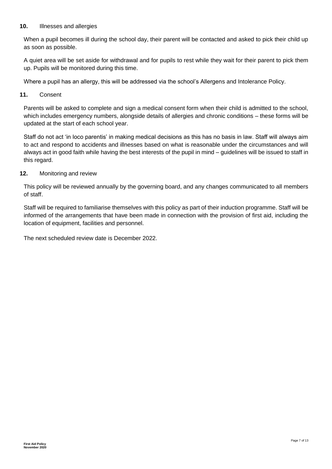## <span id="page-9-0"></span>**10.** Illnesses and allergies

When a pupil becomes ill during the school day, their parent will be contacted and asked to pick their child up as soon as possible.

A quiet area will be set aside for withdrawal and for pupils to rest while they wait for their parent to pick them up. Pupils will be monitored during this time.

Where a pupil has an allergy, this will be addressed via the school's Allergens and Intolerance Policy.

<span id="page-9-1"></span>**11.** Consent

Parents will be asked to complete and sign a medical consent form when their child is admitted to the school, which includes emergency numbers, alongside details of allergies and chronic conditions – these forms will be updated at the start of each school year.

Staff do not act 'in loco parentis' in making medical decisions as this has no basis in law. Staff will always aim to act and respond to accidents and illnesses based on what is reasonable under the circumstances and will always act in good faith while having the best interests of the pupil in mind – guidelines will be issued to staff in this regard.

## <span id="page-9-2"></span>**12.** Monitoring and review

This policy will be reviewed annually by the governing board, and any changes communicated to all members of staff.

Staff will be required to familiarise themselves with this policy as part of their induction programme. Staff will be informed of the arrangements that have been made in connection with the provision of first aid, including the location of equipment, facilities and personnel.

The next scheduled review date is December 2022.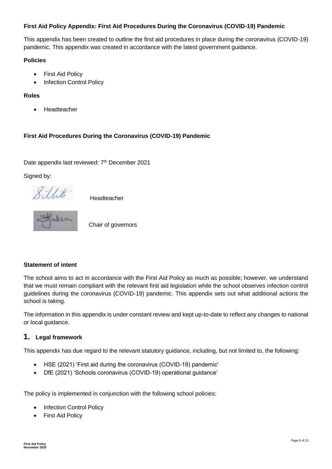# **First Aid Policy Appendix: First Aid Procedures During the Coronavirus (COVID-19) Pandemic**

This appendix has been created to outline the first aid procedures in place during the coronavirus (COVID-19) pandemic. This appendix was created in accordance with the latest government guidance.

#### **Policies**

- First Aid Policy
- Infection Control Policy

## **Roles**

Headteacher

# **First Aid Procedures During the Coronavirus (COVID-19) Pandemic**

Date appendix last reviewed: 7<sup>th</sup> December 2021

Signed by:





Chair of governors

#### **Statement of intent**

The school aims to act in accordance with the First Aid Policy as much as possible; however, we understand that we must remain compliant with the relevant first aid legislation while the school observes infection control guidelines during the coronavirus (COVID-19) pandemic. This appendix sets out what additional actions the school is taking.

The information in this appendix is under constant review and kept up-to-date to reflect any changes to national or local guidance.

# **1. Legal framework**

This appendix has due regard to the relevant statutory guidance, including, but not limited to, the following:

- HSE (2021) 'First aid during the coronavirus (COVID-19) pandemic'
- DfE (2021) 'Schools coronavirus (COVID-19) operational guidance'

The policy is implemented in conjunction with the following school policies:

- Infection Control Policy
- First Aid Policy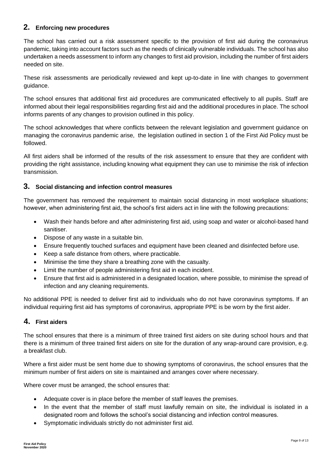# **2. Enforcing new procedures**

The school has carried out a risk assessment specific to the provision of first aid during the coronavirus pandemic, taking into account factors such as the needs of clinically vulnerable individuals. The school has also undertaken a needs assessment to inform any changes to first aid provision, including the number of first aiders needed on site.

These risk assessments are periodically reviewed and kept up-to-date in line with changes to government guidance.

The school ensures that additional first aid procedures are communicated effectively to all pupils. Staff are informed about their legal responsibilities regarding first aid and the additional procedures in place. The school informs parents of any changes to provision outlined in this policy.

The school acknowledges that where conflicts between the relevant legislation and government guidance on managing the coronavirus pandemic arise, the legislation outlined in section 1 of the First Aid Policy must be followed.

All first aiders shall be informed of the results of the risk assessment to ensure that they are confident with providing the right assistance, including knowing what equipment they can use to minimise the risk of infection transmission.

# **3. Social distancing and infection control measures**

The government has removed the requirement to maintain social distancing in most workplace situations; however, when administering first aid, the school's first aiders act in line with the following precautions:

- Wash their hands before and after administering first aid, using soap and water or alcohol-based hand sanitiser.
- Dispose of any waste in a suitable bin.
- Ensure frequently touched surfaces and equipment have been cleaned and disinfected before use.
- Keep a safe distance from others, where practicable.
- Minimise the time they share a breathing zone with the casualty.
- Limit the number of people administering first aid in each incident.
- Ensure that first aid is administered in a designated location, where possible, to minimise the spread of infection and any cleaning requirements.

No additional PPE is needed to deliver first aid to individuals who do not have coronavirus symptoms. If an individual requiring first aid has symptoms of coronavirus, appropriate PPE is be worn by the first aider.

# **4. First aiders**

The school ensures that there is a minimum of three trained first aiders on site during school hours and that there is a minimum of three trained first aiders on site for the duration of any wrap-around care provision, e.g. a breakfast club.

Where a first aider must be sent home due to showing symptoms of coronavirus, the school ensures that the minimum number of first aiders on site is maintained and arranges cover where necessary.

Where cover must be arranged, the school ensures that:

- Adequate cover is in place before the member of staff leaves the premises.
- In the event that the member of staff must lawfully remain on site, the individual is isolated in a designated room and follows the school's social distancing and infection control measures.
- Symptomatic individuals strictly do not administer first aid.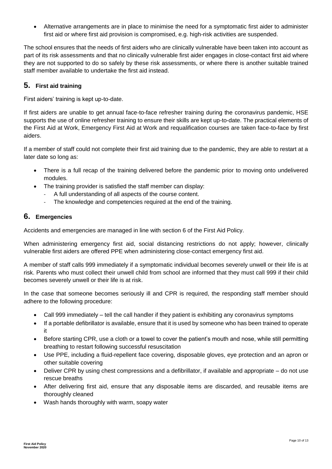Alternative arrangements are in place to minimise the need for a symptomatic first aider to administer first aid or where first aid provision is compromised, e.g. high-risk activities are suspended.

The school ensures that the needs of first aiders who are clinically vulnerable have been taken into account as part of its risk assessments and that no clinically vulnerable first aider engages in close-contact first aid where they are not supported to do so safely by these risk assessments, or where there is another suitable trained staff member available to undertake the first aid instead.

# **5. First aid training**

First aiders' training is kept up-to-date.

If first aiders are unable to get annual face-to-face refresher training during the coronavirus pandemic, HSE supports the use of online refresher training to ensure their skills are kept up-to-date. The practical elements of the First Aid at Work, Emergency First Aid at Work and requalification courses are taken face-to-face by first aiders.

If a member of staff could not complete their first aid training due to the pandemic, they are able to restart at a later date so long as:

- There is a full recap of the training delivered before the pandemic prior to moving onto undelivered modules.
- The training provider is satisfied the staff member can display:
	- A full understanding of all aspects of the course content.
	- The knowledge and competencies required at the end of the training.

# **6. Emergencies**

Accidents and emergencies are managed in line with section 6 of the First Aid Policy.

When administering emergency first aid, social distancing restrictions do not apply; however, clinically vulnerable first aiders are offered PPE when administering close-contact emergency first aid.

A member of staff calls 999 immediately if a symptomatic individual becomes severely unwell or their life is at risk. Parents who must collect their unwell child from school are informed that they must call 999 if their child becomes severely unwell or their life is at risk.

In the case that someone becomes seriously ill and CPR is required, the responding staff member should adhere to the following procedure:

- Call 999 immediately tell the call handler if they patient is exhibiting any coronavirus symptoms
- If a portable defibrillator is available, ensure that it is used by someone who has been trained to operate it
- Before starting CPR, use a cloth or a towel to cover the patient's mouth and nose, while still permitting breathing to restart following successful resuscitation
- Use PPE, including a fluid-repellent face covering, disposable gloves, eye protection and an apron or other suitable covering
- Deliver CPR by using chest compressions and a defibrillator, if available and appropriate do not use rescue breaths
- After delivering first aid, ensure that any disposable items are discarded, and reusable items are thoroughly cleaned
- Wash hands thoroughly with warm, soapy water